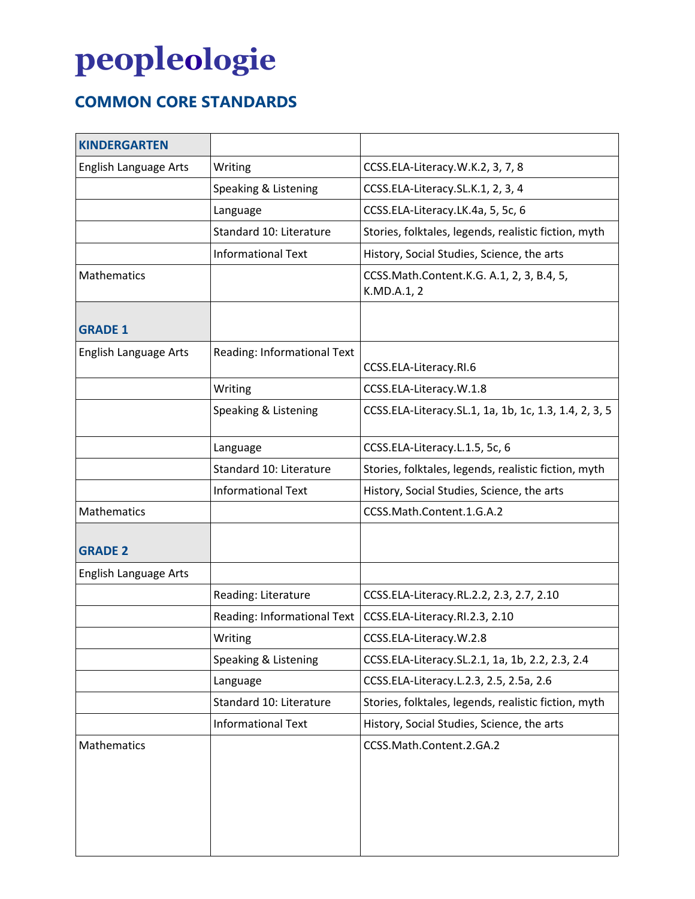## **peopleologie**

## **COMMON CORE STANDARDS**

| <b>KINDERGARTEN</b>          |                             |                                                          |
|------------------------------|-----------------------------|----------------------------------------------------------|
| English Language Arts        | Writing                     | CCSS.ELA-Literacy.W.K.2, 3, 7, 8                         |
|                              | Speaking & Listening        | CCSS.ELA-Literacy.SL.K.1, 2, 3, 4                        |
|                              | Language                    | CCSS.ELA-Literacy.LK.4a, 5, 5c, 6                        |
|                              | Standard 10: Literature     | Stories, folktales, legends, realistic fiction, myth     |
|                              | <b>Informational Text</b>   | History, Social Studies, Science, the arts               |
| Mathematics                  |                             | CCSS.Math.Content.K.G. A.1, 2, 3, B.4, 5,<br>K.MD.A.1, 2 |
| <b>GRADE 1</b>               |                             |                                                          |
| <b>English Language Arts</b> | Reading: Informational Text | CCSS.ELA-Literacy.RI.6                                   |
|                              | Writing                     | CCSS.ELA-Literacy.W.1.8                                  |
|                              | Speaking & Listening        | CCSS.ELA-Literacy.SL.1, 1a, 1b, 1c, 1.3, 1.4, 2, 3, 5    |
|                              | Language                    | CCSS.ELA-Literacy.L.1.5, 5c, 6                           |
|                              | Standard 10: Literature     | Stories, folktales, legends, realistic fiction, myth     |
|                              | <b>Informational Text</b>   | History, Social Studies, Science, the arts               |
| Mathematics                  |                             | CCSS.Math.Content.1.G.A.2                                |
| <b>GRADE 2</b>               |                             |                                                          |
| English Language Arts        |                             |                                                          |
|                              | Reading: Literature         | CCSS.ELA-Literacy.RL.2.2, 2.3, 2.7, 2.10                 |
|                              | Reading: Informational Text | CCSS.ELA-Literacy.RI.2.3, 2.10                           |
|                              | Writing                     | CCSS.ELA-Literacy.W.2.8                                  |
|                              | Speaking & Listening        | CCSS.ELA-Literacy.SL.2.1, 1a, 1b, 2.2, 2.3, 2.4          |
|                              | Language                    | CCSS.ELA-Literacy.L.2.3, 2.5, 2.5a, 2.6                  |
|                              | Standard 10: Literature     | Stories, folktales, legends, realistic fiction, myth     |
|                              | <b>Informational Text</b>   | History, Social Studies, Science, the arts               |
| Mathematics                  |                             | CCSS.Math.Content.2.GA.2                                 |
|                              |                             |                                                          |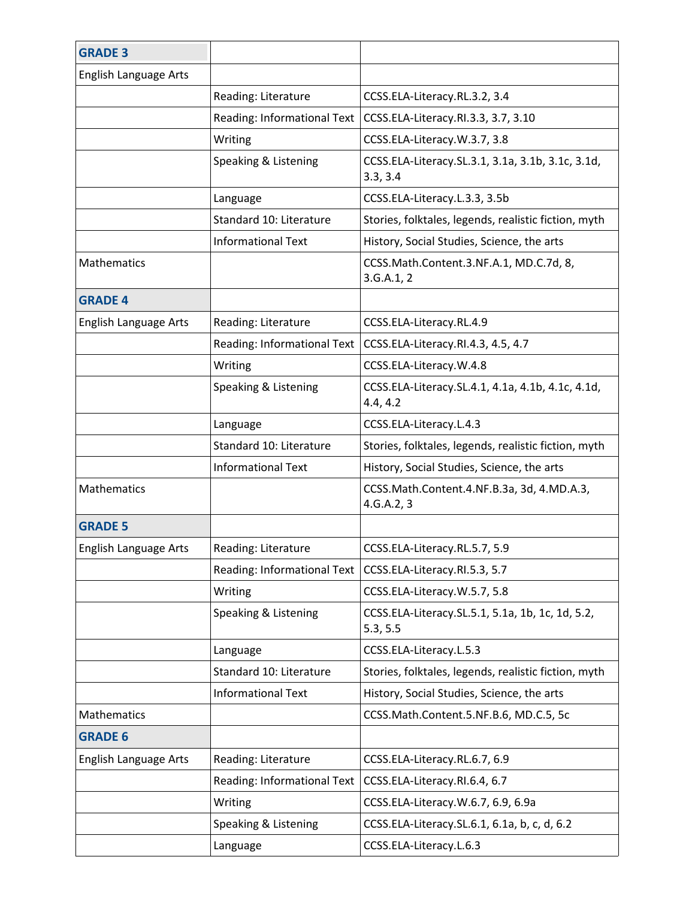| <b>GRADE 3</b>               |                             |                                                               |
|------------------------------|-----------------------------|---------------------------------------------------------------|
| <b>English Language Arts</b> |                             |                                                               |
|                              | Reading: Literature         | CCSS.ELA-Literacy.RL.3.2, 3.4                                 |
|                              | Reading: Informational Text | CCSS.ELA-Literacy.RI.3.3, 3.7, 3.10                           |
|                              | Writing                     | CCSS.ELA-Literacy.W.3.7, 3.8                                  |
|                              | Speaking & Listening        | CCSS.ELA-Literacy.SL.3.1, 3.1a, 3.1b, 3.1c, 3.1d,<br>3.3, 3.4 |
|                              | Language                    | CCSS.ELA-Literacy.L.3.3, 3.5b                                 |
|                              | Standard 10: Literature     | Stories, folktales, legends, realistic fiction, myth          |
|                              | <b>Informational Text</b>   | History, Social Studies, Science, the arts                    |
| Mathematics                  |                             | CCSS.Math.Content.3.NF.A.1, MD.C.7d, 8,<br>3.G.A.1, 2         |
| <b>GRADE 4</b>               |                             |                                                               |
| English Language Arts        | Reading: Literature         | CCSS.ELA-Literacy.RL.4.9                                      |
|                              | Reading: Informational Text | CCSS.ELA-Literacy.RI.4.3, 4.5, 4.7                            |
|                              | Writing                     | CCSS.ELA-Literacy.W.4.8                                       |
|                              | Speaking & Listening        | CCSS.ELA-Literacy.SL.4.1, 4.1a, 4.1b, 4.1c, 4.1d,<br>4.4, 4.2 |
|                              | Language                    | CCSS.ELA-Literacy.L.4.3                                       |
|                              | Standard 10: Literature     | Stories, folktales, legends, realistic fiction, myth          |
|                              | <b>Informational Text</b>   | History, Social Studies, Science, the arts                    |
| Mathematics                  |                             | CCSS.Math.Content.4.NF.B.3a, 3d, 4.MD.A.3,<br>4.G.A.2, 3      |
| <b>GRADE 5</b>               |                             |                                                               |
| English Language Arts        | Reading: Literature         | CCSS.ELA-Literacy.RL.5.7, 5.9                                 |
|                              | Reading: Informational Text | CCSS.ELA-Literacy.RI.5.3, 5.7                                 |
|                              | Writing                     | CCSS.ELA-Literacy.W.5.7, 5.8                                  |
|                              | Speaking & Listening        | CCSS.ELA-Literacy.SL.5.1, 5.1a, 1b, 1c, 1d, 5.2,<br>5.3, 5.5  |
|                              | Language                    | CCSS.ELA-Literacy.L.5.3                                       |
|                              | Standard 10: Literature     | Stories, folktales, legends, realistic fiction, myth          |
|                              | <b>Informational Text</b>   | History, Social Studies, Science, the arts                    |
| Mathematics                  |                             | CCSS.Math.Content.5.NF.B.6, MD.C.5, 5c                        |
| <b>GRADE 6</b>               |                             |                                                               |
| English Language Arts        | Reading: Literature         | CCSS.ELA-Literacy.RL.6.7, 6.9                                 |
|                              | Reading: Informational Text | CCSS.ELA-Literacy.RI.6.4, 6.7                                 |
|                              | Writing                     | CCSS.ELA-Literacy.W.6.7, 6.9, 6.9a                            |
|                              | Speaking & Listening        | CCSS.ELA-Literacy.SL.6.1, 6.1a, b, c, d, 6.2                  |
|                              | Language                    | CCSS.ELA-Literacy.L.6.3                                       |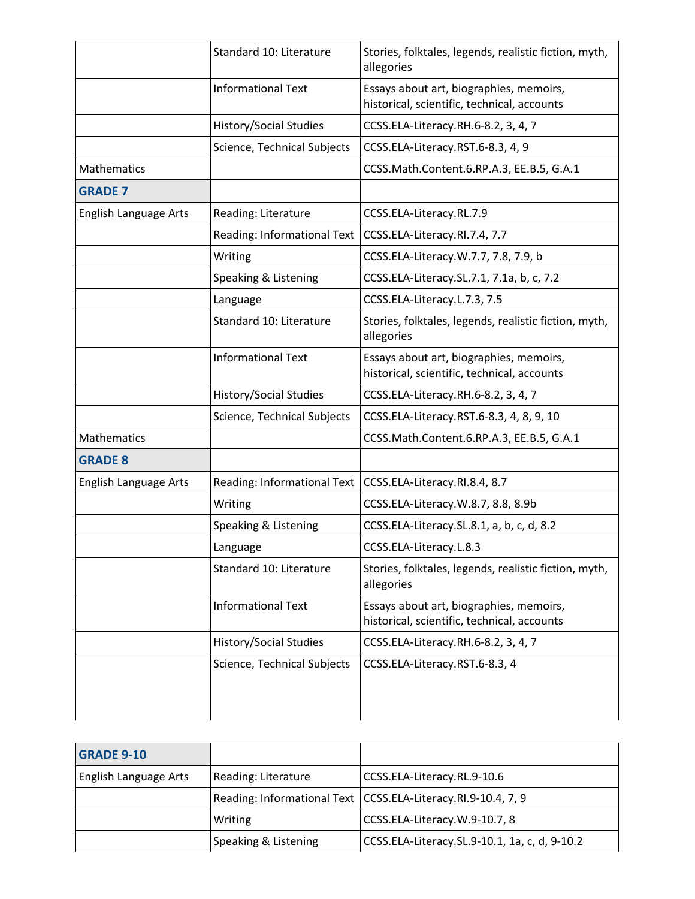|                              | Standard 10: Literature       | Stories, folktales, legends, realistic fiction, myth,<br>allegories                    |
|------------------------------|-------------------------------|----------------------------------------------------------------------------------------|
|                              | <b>Informational Text</b>     | Essays about art, biographies, memoirs,<br>historical, scientific, technical, accounts |
|                              | <b>History/Social Studies</b> | CCSS.ELA-Literacy.RH.6-8.2, 3, 4, 7                                                    |
|                              | Science, Technical Subjects   | CCSS.ELA-Literacy.RST.6-8.3, 4, 9                                                      |
| Mathematics                  |                               | CCSS.Math.Content.6.RP.A.3, EE.B.5, G.A.1                                              |
| <b>GRADE 7</b>               |                               |                                                                                        |
| English Language Arts        | Reading: Literature           | CCSS.ELA-Literacy.RL.7.9                                                               |
|                              | Reading: Informational Text   | CCSS.ELA-Literacy.RI.7.4, 7.7                                                          |
|                              | Writing                       | CCSS.ELA-Literacy.W.7.7, 7.8, 7.9, b                                                   |
|                              | Speaking & Listening          | CCSS.ELA-Literacy.SL.7.1, 7.1a, b, c, 7.2                                              |
|                              | Language                      | CCSS.ELA-Literacy.L.7.3, 7.5                                                           |
|                              | Standard 10: Literature       | Stories, folktales, legends, realistic fiction, myth,<br>allegories                    |
|                              | <b>Informational Text</b>     | Essays about art, biographies, memoirs,<br>historical, scientific, technical, accounts |
|                              | <b>History/Social Studies</b> | CCSS.ELA-Literacy.RH.6-8.2, 3, 4, 7                                                    |
|                              | Science, Technical Subjects   | CCSS.ELA-Literacy.RST.6-8.3, 4, 8, 9, 10                                               |
| Mathematics                  |                               | CCSS.Math.Content.6.RP.A.3, EE.B.5, G.A.1                                              |
| <b>GRADE 8</b>               |                               |                                                                                        |
| <b>English Language Arts</b> | Reading: Informational Text   | CCSS.ELA-Literacy.RI.8.4, 8.7                                                          |
|                              | Writing                       | CCSS.ELA-Literacy.W.8.7, 8.8, 8.9b                                                     |
|                              | Speaking & Listening          | CCSS.ELA-Literacy.SL.8.1, a, b, c, d, 8.2                                              |
|                              | Language                      | CCSS.ELA-Literacy.L.8.3                                                                |
|                              | Standard 10: Literature       | Stories, folktales, legends, realistic fiction, myth,<br>allegories                    |
|                              | <b>Informational Text</b>     | Essays about art, biographies, memoirs,<br>historical, scientific, technical, accounts |
|                              | <b>History/Social Studies</b> | CCSS.ELA-Literacy.RH.6-8.2, 3, 4, 7                                                    |
|                              | Science, Technical Subjects   | CCSS.ELA-Literacy.RST.6-8.3, 4                                                         |

| <b>GRADE 9-10</b>     |                      |                                                                 |
|-----------------------|----------------------|-----------------------------------------------------------------|
| English Language Arts | Reading: Literature  | CCSS.ELA-Literacy.RL.9-10.6                                     |
|                       |                      | Reading: Informational Text   CCSS.ELA-Literacy.RI.9-10.4, 7, 9 |
|                       | Writing              | CCSS.ELA-Literacy.W.9-10.7, 8                                   |
|                       | Speaking & Listening | CCSS.ELA-Literacy.SL.9-10.1, 1a, c, d, 9-10.2                   |